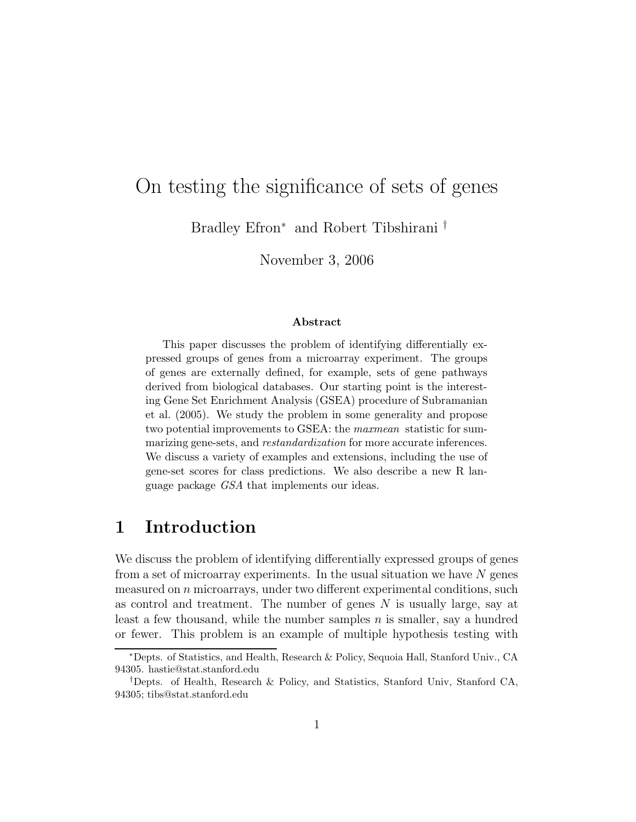# On testing the significance of sets of genes

Bradley Efron<sup>∗</sup> and Robert Tibshirani †

November 3, 2006

#### Abstract

This paper discusses the problem of identifying differentially expressed groups of genes from a microarray experiment. The groups of genes are externally defined, for example, sets of gene pathways derived from biological databases. Our starting point is the interesting Gene Set Enrichment Analysis (GSEA) procedure of Subramanian et al. (2005). We study the problem in some generality and propose two potential improvements to GSEA: the maxmean statistic for summarizing gene-sets, and *restandardization* for more accurate inferences. We discuss a variety of examples and extensions, including the use of gene-set scores for class predictions. We also describe a new R language package GSA that implements our ideas.

### 1 Introduction

We discuss the problem of identifying differentially expressed groups of genes from a set of microarray experiments. In the usual situation we have  $N$  genes measured on n microarrays, under two different experimental conditions, such as control and treatment. The number of genes  $N$  is usually large, say at least a few thousand, while the number samples  $n$  is smaller, say a hundred or fewer. This problem is an example of multiple hypothesis testing with

<sup>∗</sup>Depts. of Statistics, and Health, Research & Policy, Sequoia Hall, Stanford Univ., CA 94305. hastie@stat.stanford.edu

<sup>†</sup>Depts. of Health, Research & Policy, and Statistics, Stanford Univ, Stanford CA, 94305; tibs@stat.stanford.edu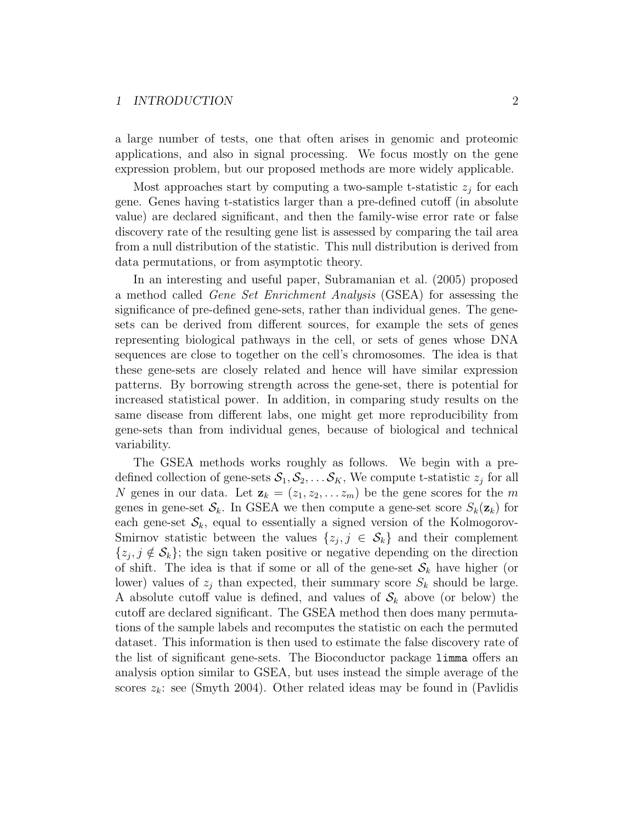#### 1 INTRODUCTION 2

a large number of tests, one that often arises in genomic and proteomic applications, and also in signal processing. We focus mostly on the gene expression problem, but our proposed methods are more widely applicable.

Most approaches start by computing a two-sample t-statistic  $z_j$  for each gene. Genes having t-statistics larger than a pre-defined cutoff (in absolute value) are declared significant, and then the family-wise error rate or false discovery rate of the resulting gene list is assessed by comparing the tail area from a null distribution of the statistic. This null distribution is derived from data permutations, or from asymptotic theory.

In an interesting and useful paper, Subramanian et al. (2005) proposed a method called Gene Set Enrichment Analysis (GSEA) for assessing the significance of pre-defined gene-sets, rather than individual genes. The genesets can be derived from different sources, for example the sets of genes representing biological pathways in the cell, or sets of genes whose DNA sequences are close to together on the cell's chromosomes. The idea is that these gene-sets are closely related and hence will have similar expression patterns. By borrowing strength across the gene-set, there is potential for increased statistical power. In addition, in comparing study results on the same disease from different labs, one might get more reproducibility from gene-sets than from individual genes, because of biological and technical variability.

The GSEA methods works roughly as follows. We begin with a predefined collection of gene-sets  $S_1, S_2, \ldots S_K$ , We compute t-statistic  $z_j$  for all N genes in our data. Let  $\mathbf{z}_k = (z_1, z_2, \dots z_m)$  be the gene scores for the m genes in gene-set  $\mathcal{S}_k$ . In GSEA we then compute a gene-set score  $S_k(\mathbf{z}_k)$  for each gene-set  $\mathcal{S}_k$ , equal to essentially a signed version of the Kolmogorov-Smirnov statistic between the values  $\{z_j, j \in S_k\}$  and their complement  $\{z_j, j \notin \mathcal{S}_k\}$ ; the sign taken positive or negative depending on the direction of shift. The idea is that if some or all of the gene-set  $S_k$  have higher (or lower) values of  $z_j$  than expected, their summary score  $S_k$  should be large. A absolute cutoff value is defined, and values of  $S_k$  above (or below) the cutoff are declared significant. The GSEA method then does many permutations of the sample labels and recomputes the statistic on each the permuted dataset. This information is then used to estimate the false discovery rate of the list of significant gene-sets. The Bioconductor package limma offers an analysis option similar to GSEA, but uses instead the simple average of the scores  $z_k$ : see (Smyth 2004). Other related ideas may be found in (Pavlidis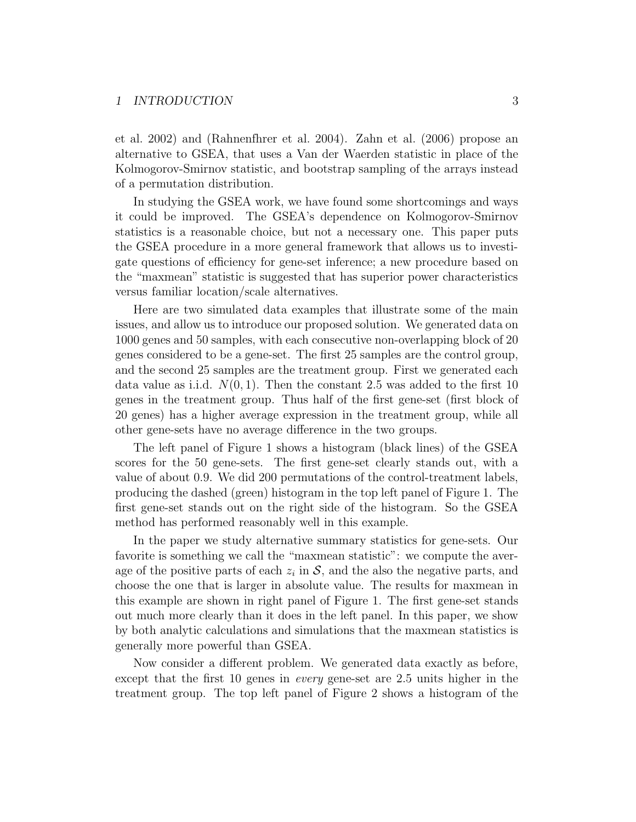#### 1 INTRODUCTION 3

et al. 2002) and (Rahnenfhrer et al. 2004). Zahn et al. (2006) propose an alternative to GSEA, that uses a Van der Waerden statistic in place of the Kolmogorov-Smirnov statistic, and bootstrap sampling of the arrays instead of a permutation distribution.

In studying the GSEA work, we have found some shortcomings and ways it could be improved. The GSEA's dependence on Kolmogorov-Smirnov statistics is a reasonable choice, but not a necessary one. This paper puts the GSEA procedure in a more general framework that allows us to investigate questions of efficiency for gene-set inference; a new procedure based on the "maxmean" statistic is suggested that has superior power characteristics versus familiar location/scale alternatives.

Here are two simulated data examples that illustrate some of the main issues, and allow us to introduce our proposed solution. We generated data on 1000 genes and 50 samples, with each consecutive non-overlapping block of 20 genes considered to be a gene-set. The first 25 samples are the control group, and the second 25 samples are the treatment group. First we generated each data value as i.i.d.  $N(0, 1)$ . Then the constant 2.5 was added to the first 10 genes in the treatment group. Thus half of the first gene-set (first block of 20 genes) has a higher average expression in the treatment group, while all other gene-sets have no average difference in the two groups.

The left panel of Figure 1 shows a histogram (black lines) of the GSEA scores for the 50 gene-sets. The first gene-set clearly stands out, with a value of about 0.9. We did 200 permutations of the control-treatment labels, producing the dashed (green) histogram in the top left panel of Figure 1. The first gene-set stands out on the right side of the histogram. So the GSEA method has performed reasonably well in this example.

In the paper we study alternative summary statistics for gene-sets. Our favorite is something we call the "maxmean statistic": we compute the average of the positive parts of each  $z_i$  in  $S$ , and the also the negative parts, and choose the one that is larger in absolute value. The results for maxmean in this example are shown in right panel of Figure 1. The first gene-set stands out much more clearly than it does in the left panel. In this paper, we show by both analytic calculations and simulations that the maxmean statistics is generally more powerful than GSEA.

Now consider a different problem. We generated data exactly as before, except that the first 10 genes in *every* gene-set are 2.5 units higher in the treatment group. The top left panel of Figure 2 shows a histogram of the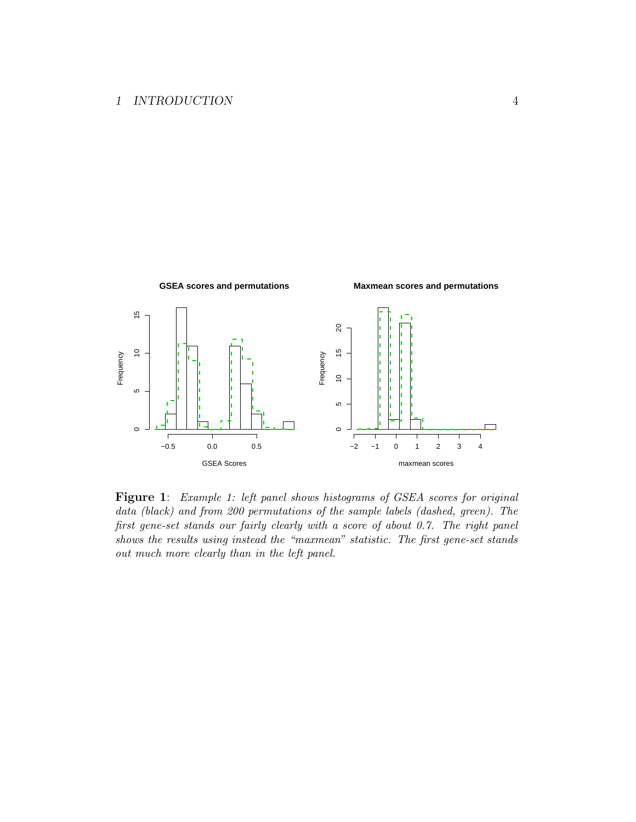

Figure 1: Example 1: left panel shows histograms of GSEA scores for original data (black) and from 200 permutations of the sample labels (dashed, green). The first gene-set stands our fairly clearly with a score of about 0.7. The right panel shows the results using instead the "maxmean" statistic. The first gene-set stands out much more clearly than in the left panel.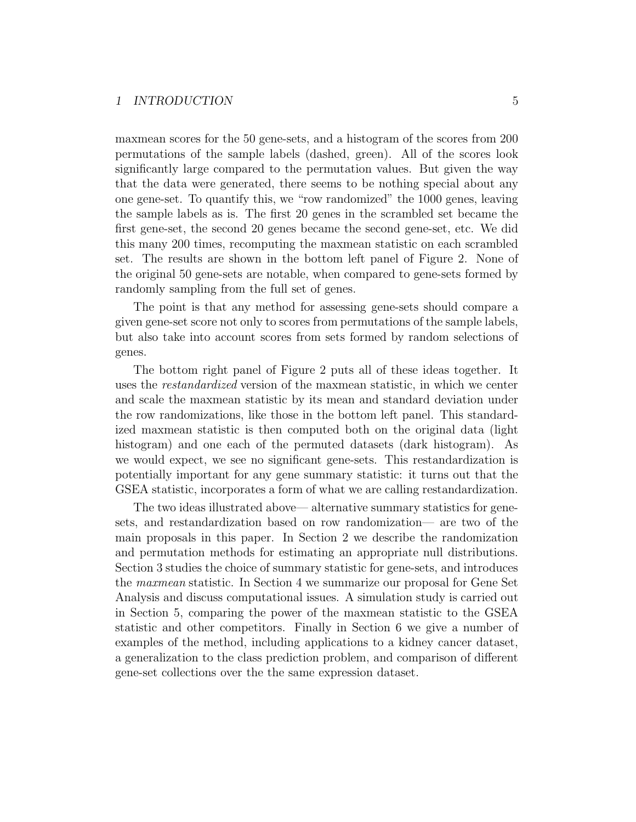#### 1 INTRODUCTION 5

maxmean scores for the 50 gene-sets, and a histogram of the scores from 200 permutations of the sample labels (dashed, green). All of the scores look significantly large compared to the permutation values. But given the way that the data were generated, there seems to be nothing special about any one gene-set. To quantify this, we "row randomized" the 1000 genes, leaving the sample labels as is. The first 20 genes in the scrambled set became the first gene-set, the second 20 genes became the second gene-set, etc. We did this many 200 times, recomputing the maxmean statistic on each scrambled set. The results are shown in the bottom left panel of Figure 2. None of the original 50 gene-sets are notable, when compared to gene-sets formed by randomly sampling from the full set of genes.

The point is that any method for assessing gene-sets should compare a given gene-set score not only to scores from permutations of the sample labels, but also take into account scores from sets formed by random selections of genes.

The bottom right panel of Figure 2 puts all of these ideas together. It uses the restandardized version of the maxmean statistic, in which we center and scale the maxmean statistic by its mean and standard deviation under the row randomizations, like those in the bottom left panel. This standardized maxmean statistic is then computed both on the original data (light histogram) and one each of the permuted datasets (dark histogram). As we would expect, we see no significant gene-sets. This restandardization is potentially important for any gene summary statistic: it turns out that the GSEA statistic, incorporates a form of what we are calling restandardization.

The two ideas illustrated above— alternative summary statistics for genesets, and restandardization based on row randomization— are two of the main proposals in this paper. In Section 2 we describe the randomization and permutation methods for estimating an appropriate null distributions. Section 3 studies the choice of summary statistic for gene-sets, and introduces the maxmean statistic. In Section 4 we summarize our proposal for Gene Set Analysis and discuss computational issues. A simulation study is carried out in Section 5, comparing the power of the maxmean statistic to the GSEA statistic and other competitors. Finally in Section 6 we give a number of examples of the method, including applications to a kidney cancer dataset, a generalization to the class prediction problem, and comparison of different gene-set collections over the the same expression dataset.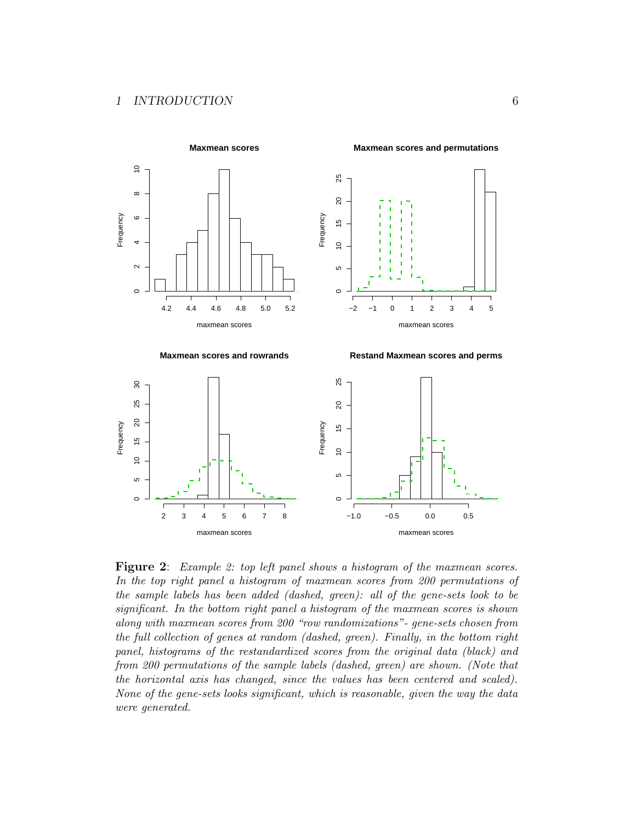

Figure 2: Example 2: top left panel shows a histogram of the maxmean scores. In the top right panel a histogram of maxmean scores from 200 permutations of the sample labels has been added (dashed, green): all of the gene-sets look to be significant. In the bottom right panel a histogram of the maxmean scores is shown along with maxmean scores from 200 "row randomizations"- gene-sets chosen from the full collection of genes at random (dashed, green). Finally, in the bottom right panel, histograms of the restandardized scores from the original data (black) and from 200 permutations of the sample labels (dashed, green) are shown. (Note that the horizontal axis has changed, since the values has been centered and scaled). None of the gene-sets looks significant, which is reasonable, given the way the data were generated.

maxmean scores

maxmean scores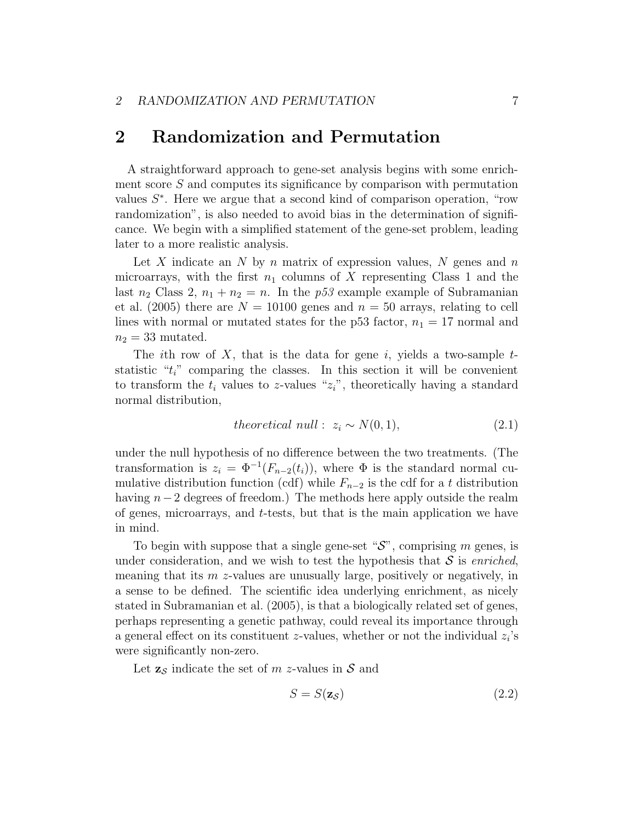### 2 Randomization and Permutation

A straightforward approach to gene-set analysis begins with some enrichment score  $S$  and computes its significance by comparison with permutation values  $S^*$ . Here we argue that a second kind of comparison operation, "row randomization", is also needed to avoid bias in the determination of significance. We begin with a simplified statement of the gene-set problem, leading later to a more realistic analysis.

Let X indicate an N by n matrix of expression values, N genes and  $n$ microarrays, with the first  $n_1$  columns of X representing Class 1 and the last  $n_2$  Class 2,  $n_1 + n_2 = n$ . In the p53 example example of Subramanian et al. (2005) there are  $N = 10100$  genes and  $n = 50$  arrays, relating to cell lines with normal or mutated states for the p53 factor,  $n_1 = 17$  normal and  $n_2 = 33$  mutated.

The *i*th row of  $X$ , that is the data for gene *i*, yields a two-sample  $t$ statistic " $t_i$ " comparing the classes. In this section it will be convenient to transform the  $t_i$  values to z-values " $z_i$ ", theoretically having a standard normal distribution,

theoretical null: 
$$
z_i \sim N(0, 1)
$$
, 
$$
(2.1)
$$

under the null hypothesis of no difference between the two treatments. (The transformation is  $z_i = \Phi^{-1}(F_{n-2}(t_i))$ , where  $\Phi$  is the standard normal cumulative distribution function (cdf) while  $F_{n-2}$  is the cdf for a t distribution having  $n-2$  degrees of freedom.) The methods here apply outside the realm of genes, microarrays, and t-tests, but that is the main application we have in mind.

To begin with suppose that a single gene-set " $\mathcal{S}$ ", comprising m genes, is under consideration, and we wish to test the hypothesis that  $\mathcal S$  is enriched, meaning that its  $m$  z-values are unusually large, positively or negatively, in a sense to be defined. The scientific idea underlying enrichment, as nicely stated in Subramanian et al. (2005), is that a biologically related set of genes, perhaps representing a genetic pathway, could reveal its importance through a general effect on its constituent  $z$ -values, whether or not the individual  $z_i$ 's were significantly non-zero.

Let  $z_{\mathcal{S}}$  indicate the set of m z-values in S and

$$
S = S(\mathbf{z}_{\mathcal{S}}) \tag{2.2}
$$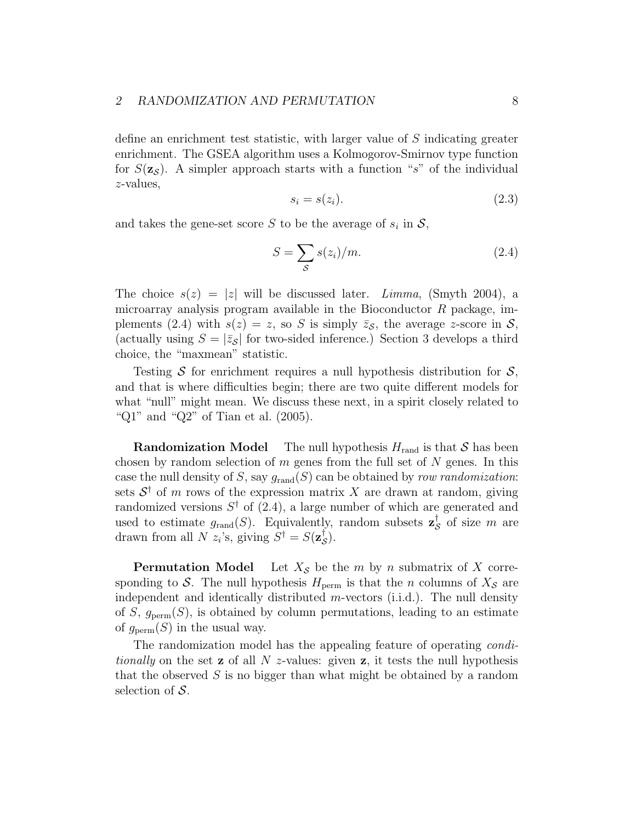#### 2 RANDOMIZATION AND PERMUTATION 8

define an enrichment test statistic, with larger value of S indicating greater enrichment. The GSEA algorithm uses a Kolmogorov-Smirnov type function for  $S(\mathbf{z}_{\mathcal{S}})$ . A simpler approach starts with a function "s" of the individual z-values,

$$
s_i = s(z_i). \tag{2.3}
$$

and takes the gene-set score S to be the average of  $s_i$  in  $S$ ,

$$
S = \sum_{\mathcal{S}} s(z_i) / m. \tag{2.4}
$$

The choice  $s(z) = |z|$  will be discussed later. *Limma*, (Smyth 2004), a microarray analysis program available in the Bioconductor  $R$  package, implements (2.4) with  $s(z) = z$ , so S is simply  $\bar{z}_{\mathcal{S}}$ , the average z-score in S, (actually using  $S = |\bar{z}_{\mathcal{S}}|$  for two-sided inference.) Section 3 develops a third choice, the "maxmean" statistic.

Testing S for enrichment requires a null hypothesis distribution for  $\mathcal{S}$ , and that is where difficulties begin; there are two quite different models for what "null" might mean. We discuss these next, in a spirit closely related to "Q1" and "Q2" of Tian et al. (2005).

**Randomization Model** The null hypothesis  $H_{\text{rand}}$  is that S has been chosen by random selection of  $m$  genes from the full set of  $N$  genes. In this case the null density of S, say  $g_{\text{rand}}(S)$  can be obtained by row randomization: sets  $S^{\dagger}$  of m rows of the expression matrix X are drawn at random, giving randomized versions  $S^{\dagger}$  of (2.4), a large number of which are generated and used to estimate  $g_{\text{rand}}(S)$ . Equivalently, random subsets  $\mathbf{z}_{\mathcal{S}}^{\dagger}$  $\frac{1}{\mathcal{S}}$  of size m are drawn from all N  $z_i$ 's, giving  $S^{\dagger} = S(\mathbf{z}_{\mathcal{S}}^{\dagger})$  $\frac{1}{\mathcal{S}}$ ).

**Permutation Model** Let  $X_{\mathcal{S}}$  be the m by n submatrix of X corresponding to S. The null hypothesis  $H_{\text{perm}}$  is that the n columns of  $X_{\mathcal{S}}$  are independent and identically distributed  $m$ -vectors (i.i.d.). The null density of S,  $g_{\text{perm}}(S)$ , is obtained by column permutations, leading to an estimate of  $g_{\text{perm}}(S)$  in the usual way.

The randomization model has the appealing feature of operating *condi*tionally on the set **z** of all N z-values: given **z**, it tests the null hypothesis that the observed  $S$  is no bigger than what might be obtained by a random selection of  $S$ .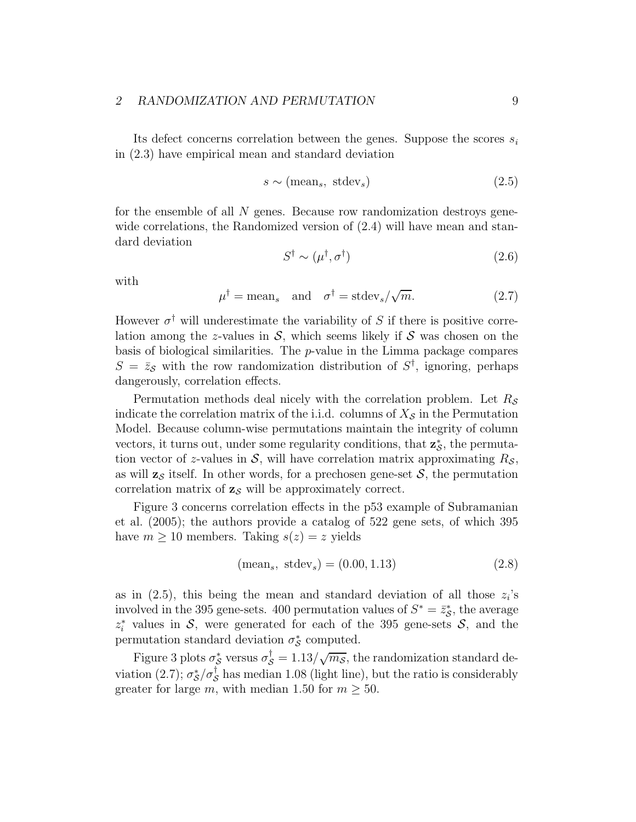#### 2 RANDOMIZATION AND PERMUTATION 9

Its defect concerns correlation between the genes. Suppose the scores  $s_i$ in (2.3) have empirical mean and standard deviation

$$
s \sim \text{(mean}_s, \text{ stdev}_s) \tag{2.5}
$$

for the ensemble of all  $N$  genes. Because row randomization destroys genewide correlations, the Randomized version of (2.4) will have mean and standard deviation

$$
S^{\dagger} \sim (\mu^{\dagger}, \sigma^{\dagger}) \tag{2.6}
$$

with

$$
\mu^{\dagger} = \text{mean}_s \quad \text{and} \quad \sigma^{\dagger} = \text{stdev}_s / \sqrt{m}. \tag{2.7}
$$

However  $\sigma^{\dagger}$  will underestimate the variability of S if there is positive correlation among the z-values in  $S$ , which seems likely if  $S$  was chosen on the basis of biological similarities. The p-value in the Limma package compares  $S = \bar{z}_{\mathcal{S}}$  with the row randomization distribution of  $S^{\dagger}$ , ignoring, perhaps dangerously, correlation effects.

Permutation methods deal nicely with the correlation problem. Let  $R_{\mathcal{S}}$ indicate the correlation matrix of the i.i.d. columns of  $X_{\mathcal{S}}$  in the Permutation Model. Because column-wise permutations maintain the integrity of column vectors, it turns out, under some regularity conditions, that  $\mathbf{z}_{\mathcal{S}}^{*}$ , the permutation vector of z-values in  $S$ , will have correlation matrix approximating  $R_S$ , as will  $z<sub>S</sub>$  itself. In other words, for a prechosen gene-set S, the permutation correlation matrix of  $z_{\mathcal{S}}$  will be approximately correct.

Figure 3 concerns correlation effects in the p53 example of Subramanian et al. (2005); the authors provide a catalog of 522 gene sets, of which 395 have  $m \geq 10$  members. Taking  $s(z) = z$  yields

$$
(\text{mean}_s, \text{ stdev}_s) = (0.00, 1.13) \tag{2.8}
$$

as in  $(2.5)$ , this being the mean and standard deviation of all those  $z_i$ 's involved in the 395 gene-sets. 400 permutation values of  $S^* = \bar{z}^*_{\mathcal{S}}$ , the average  $z_i^*$  values in S, were generated for each of the 395 gene-sets S, and the permutation standard deviation  $\sigma_{\mathcal{S}}^*$  computed.

Figure 3 plots  $\sigma_{\mathcal{S}}^*$  versus  $\sigma_{\mathcal{S}}^{\dagger} = 1.13/\sqrt{m_{\mathcal{S}}}$ , the randomization standard deviation (2.7);  $\sigma_S^*/\sigma_S^{\dagger}$  has median 1.08 (light line), but the ratio is considerably greater for large m, with median 1.50 for  $m \geq 50$ .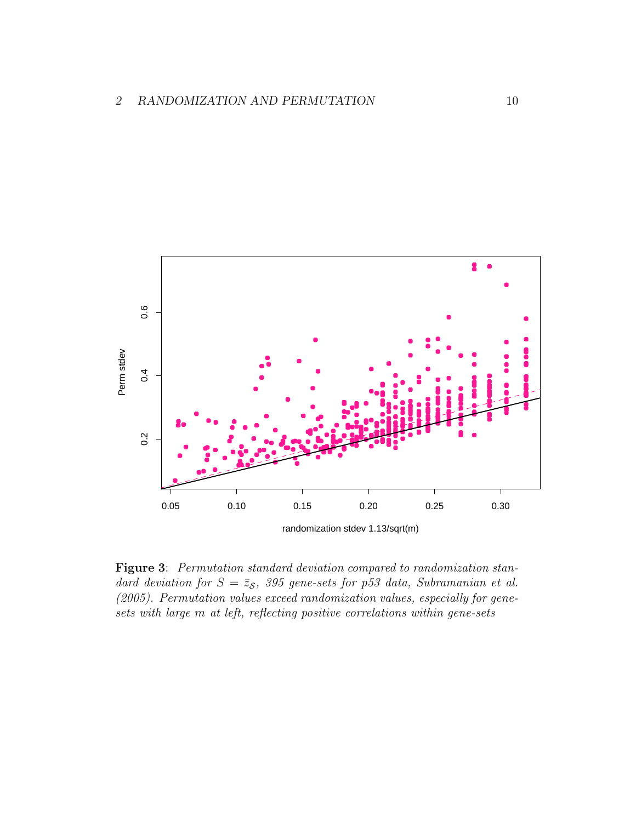

Figure 3: Permutation standard deviation compared to randomization standard deviation for  $S = \bar{z}_s$ , 395 gene-sets for p53 data, Subramanian et al. (2005). Permutation values exceed randomization values, especially for genesets with large m at left, reflecting positive correlations within gene-sets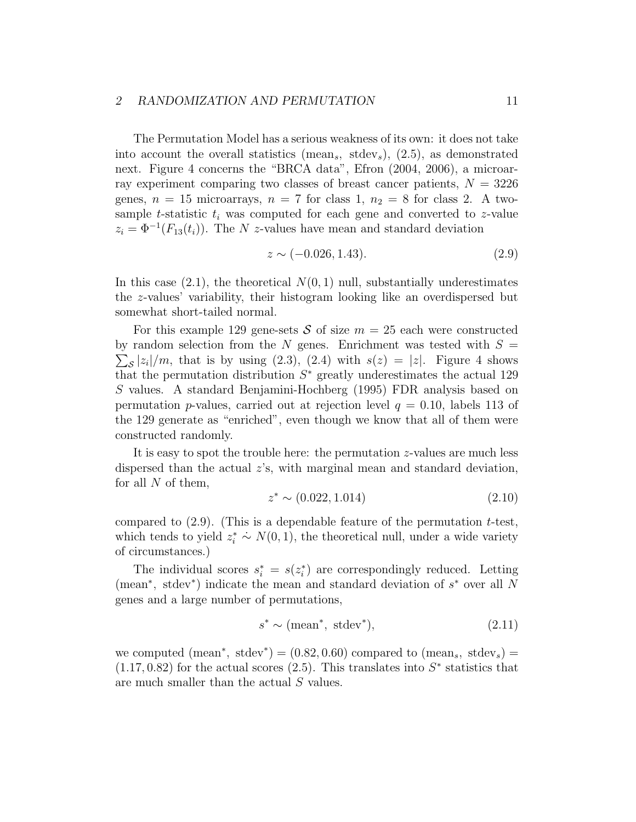#### 2 RANDOMIZATION AND PERMUTATION 11

The Permutation Model has a serious weakness of its own: it does not take into account the overall statistics (mean<sub>s</sub>, stdev<sub>s</sub>),  $(2.5)$ , as demonstrated next. Figure 4 concerns the "BRCA data", Efron (2004, 2006), a microarray experiment comparing two classes of breast cancer patients,  $N = 3226$ genes,  $n = 15$  microarrays,  $n = 7$  for class 1,  $n_2 = 8$  for class 2. A twosample t-statistic  $t_i$  was computed for each gene and converted to z-value  $z_i = \Phi^{-1}(F_{13}(t_i))$ . The N z-values have mean and standard deviation

$$
z \sim (-0.026, 1.43). \tag{2.9}
$$

In this case  $(2.1)$ , the theoretical  $N(0, 1)$  null, substantially underestimates the z-values' variability, their histogram looking like an overdispersed but somewhat short-tailed normal.

For this example 129 gene-sets S of size  $m = 25$  each were constructed  $\sum_{\mathcal{S}} |z_i|/m$ , that is by using (2.3), (2.4) with  $s(z) = |z|$ . Figure 4 shows by random selection from the N genes. Enrichment was tested with  $S =$ that the permutation distribution  $S^*$  greatly underestimates the actual 129 S values. A standard Benjamini-Hochberg (1995) FDR analysis based on permutation *p*-values, carried out at rejection level  $q = 0.10$ , labels 113 of the 129 generate as "enriched", even though we know that all of them were constructed randomly.

It is easy to spot the trouble here: the permutation z-values are much less dispersed than the actual  $z$ 's, with marginal mean and standard deviation, for all  $N$  of them,

$$
z^* \sim (0.022, 1.014) \tag{2.10}
$$

compared to  $(2.9)$ . (This is a dependable feature of the permutation t-test, which tends to yield  $z_i^* \sim N(0, 1)$ , the theoretical null, under a wide variety of circumstances.)

The individual scores  $s_i^* = s(z_i^*)$  are correspondingly reduced. Letting (mean<sup>∗</sup> , stdev<sup>∗</sup> ) indicate the mean and standard deviation of s <sup>∗</sup> over all N genes and a large number of permutations,

$$
s^* \sim \text{(mean}^*, \text{ stdev}^*),\tag{2.11}
$$

we computed (mean<sup>\*</sup>, stdev<sup>\*</sup>) = (0.82, 0.60) compared to (mean<sub>s</sub>, stdev<sub>s</sub>) =  $(1.17, 0.82)$  for the actual scores  $(2.5)$ . This translates into  $S^*$  statistics that are much smaller than the actual S values.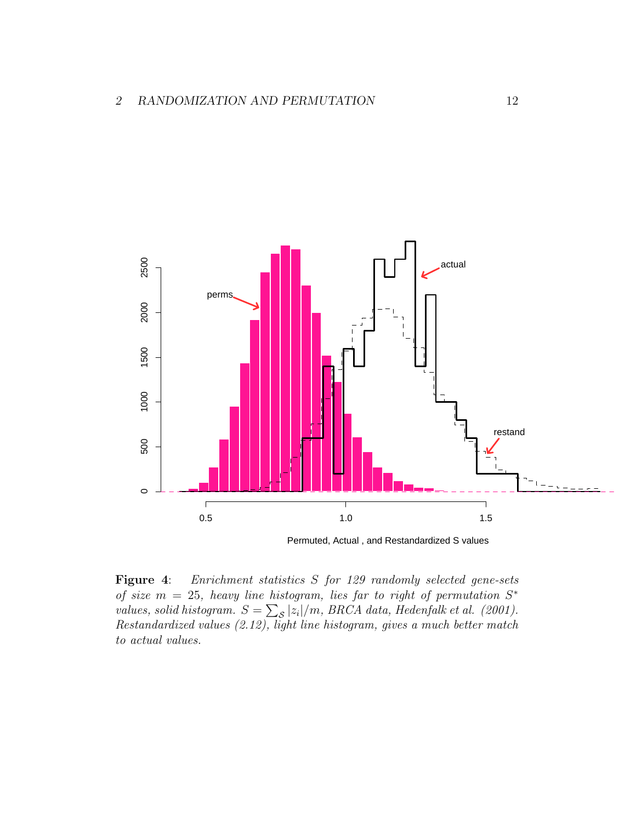

Permuted, Actual , and Restandardized S values

Figure 4: Enrichment statistics S for 129 randomly selected gene-sets of size  $m = 25$ , heavy line histogram, lies far to right of permutation  $S^*$ values, solid histogram.  $S = \sum_{\mathcal{S}} |z_i|/m$ , BRCA data, Hedenfalk et al. (2001). Restandardized values (2.12), light line histogram, gives a much better match to actual values.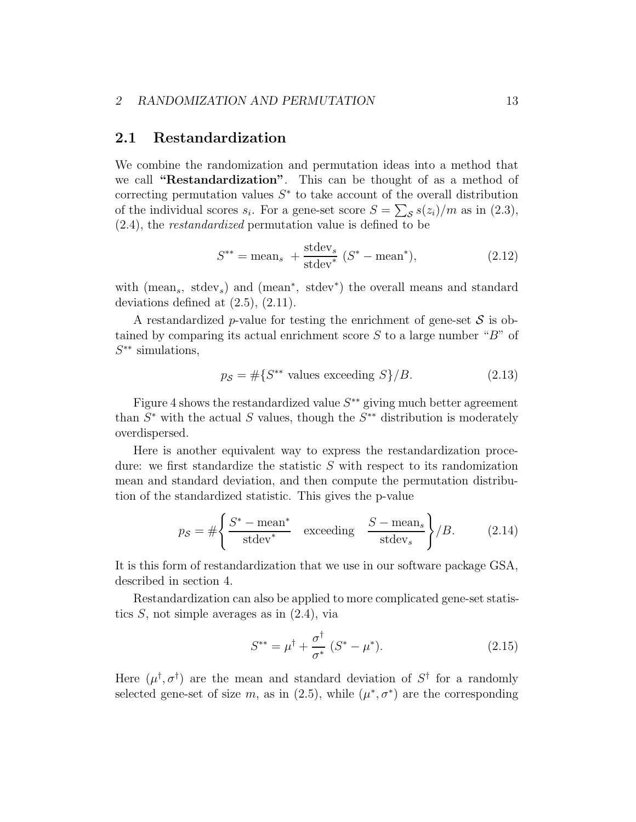#### 2.1 Restandardization

We combine the randomization and permutation ideas into a method that we call "Restandardization". This can be thought of as a method of correcting permutation values  $S^*$  to take account of the overall distribution of the individual scores  $s_i$ . For a gene-set score  $S = \sum_{s} s(z_i)/m$  as in (2.3), (2.4), the restandardized permutation value is defined to be

$$
S^{**} = \text{mean}_s + \frac{\text{stdev}_s}{\text{stdev}^*} (S^* - \text{mean}^*), \tag{2.12}
$$

with (mean<sub>s</sub>, stdev<sub>s</sub>) and (mean<sup>\*</sup>, stdev<sup>\*</sup>) the overall means and standard deviations defined at  $(2.5)$ ,  $(2.11)$ .

A restandardized p-value for testing the enrichment of gene-set  $S$  is obtained by comparing its actual enrichment score  $S$  to a large number " $B$ " of S ∗∗ simulations,

$$
p_{\mathcal{S}} = \# \{ S^{**} \text{ values exceeding } S \} / B. \tag{2.13}
$$

Figure 4 shows the restandardized value  $S^{**}$  giving much better agreement than  $S^*$  with the actual S values, though the  $S^{**}$  distribution is moderately overdispersed.

Here is another equivalent way to express the restandardization procedure: we first standardize the statistic  $S$  with respect to its randomization mean and standard deviation, and then compute the permutation distribution of the standardized statistic. This gives the p-value

$$
p_{\mathcal{S}} = \# \left\{ \frac{S^* - \text{mean}^*}{\text{stdev}^*} \quad \text{exceeding} \quad \frac{S - \text{mean}_s}{\text{stdev}_s} \right\} / B. \tag{2.14}
$$

It is this form of restandardization that we use in our software package GSA, described in section 4.

Restandardization can also be applied to more complicated gene-set statistics  $S$ , not simple averages as in  $(2.4)$ , via

$$
S^{**} = \mu^{\dagger} + \frac{\sigma^{\dagger}}{\sigma^*} (S^* - \mu^*). \tag{2.15}
$$

Here  $(\mu^{\dagger}, \sigma^{\dagger})$  are the mean and standard deviation of  $S^{\dagger}$  for a randomly selected gene-set of size m, as in  $(2.5)$ , while  $(\mu^*, \sigma^*)$  are the corresponding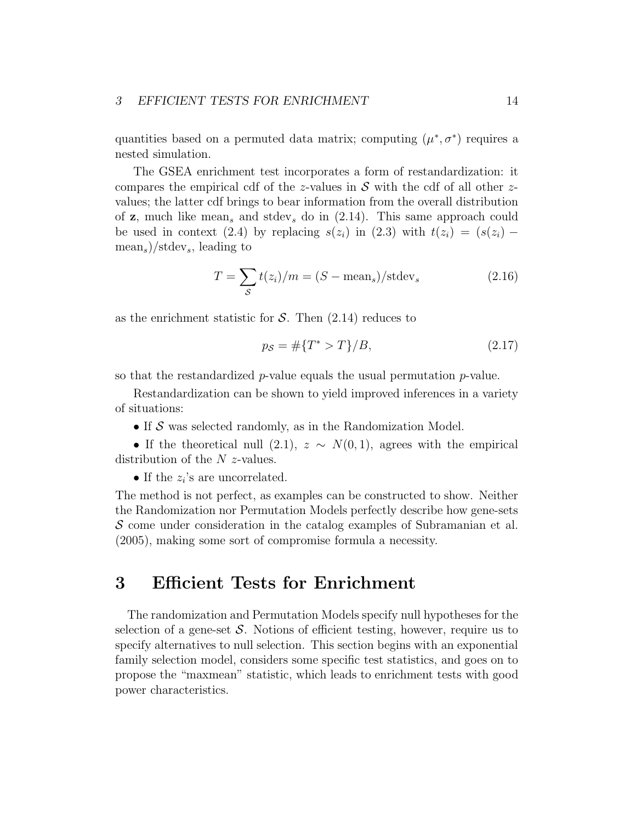quantities based on a permuted data matrix; computing  $(\mu^*, \sigma^*)$  requires a nested simulation.

The GSEA enrichment test incorporates a form of restandardization: it compares the empirical cdf of the z-values in  $S$  with the cdf of all other zvalues; the latter cdf brings to bear information from the overall distribution of **z**, much like mean<sub>s</sub> and stdev<sub>s</sub> do in  $(2.14)$ . This same approach could be used in context (2.4) by replacing  $s(z_i)$  in (2.3) with  $t(z_i) = (s(z_i) (\text{mean}_s)/\text{stdev}_s$ , leading to

$$
T = \sum_{\mathcal{S}} t(z_i)/m = (S - \text{mean}_s)/\text{stdev}_s \tag{2.16}
$$

as the enrichment statistic for  $S$ . Then  $(2.14)$  reduces to

$$
p_{\mathcal{S}} = \# \{ T^* > T \} / B,\tag{2.17}
$$

so that the restandardized  $p$ -value equals the usual permutation  $p$ -value.

Restandardization can be shown to yield improved inferences in a variety of situations:

 $\bullet$  If  $\mathcal S$  was selected randomly, as in the Randomization Model.

• If the theoretical null (2.1),  $z \sim N(0, 1)$ , agrees with the empirical distribution of the  $N$  z-values.

• If the  $z_i$ 's are uncorrelated.

The method is not perfect, as examples can be constructed to show. Neither the Randomization nor Permutation Models perfectly describe how gene-sets  $\mathcal S$  come under consideration in the catalog examples of Subramanian et al. (2005), making some sort of compromise formula a necessity.

### 3 Efficient Tests for Enrichment

The randomization and Permutation Models specify null hypotheses for the selection of a gene-set  $\mathcal S$ . Notions of efficient testing, however, require us to specify alternatives to null selection. This section begins with an exponential family selection model, considers some specific test statistics, and goes on to propose the "maxmean" statistic, which leads to enrichment tests with good power characteristics.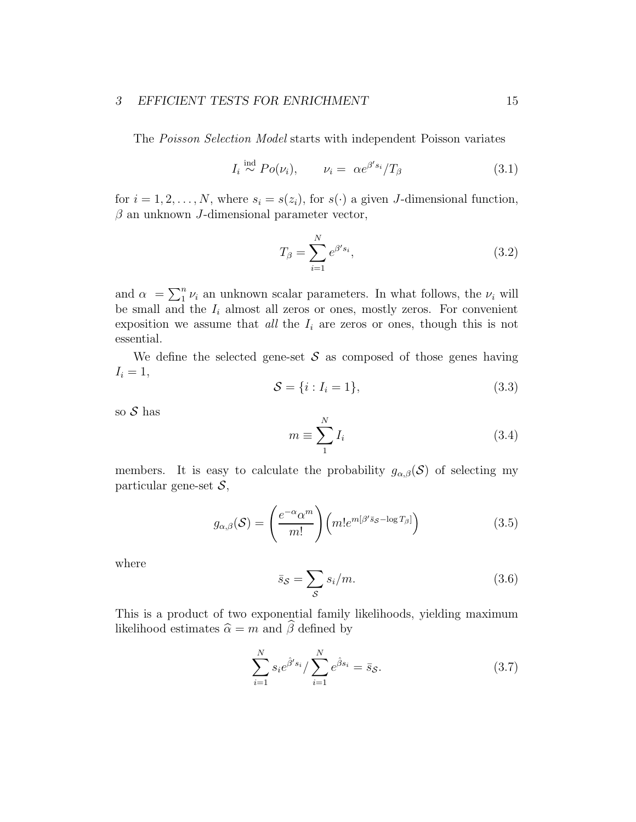#### 3 EFFICIENT TESTS FOR ENRICHMENT 15

The Poisson Selection Model starts with independent Poisson variates

$$
I_i \stackrel{\text{ind}}{\sim} Po(\nu_i), \qquad \nu_i = \alpha e^{\beta' s_i} / T_\beta \tag{3.1}
$$

for  $i = 1, 2, ..., N$ , where  $s_i = s(z_i)$ , for  $s(\cdot)$  a given J-dimensional function,  $\beta$  an unknown J-dimensional parameter vector,

$$
T_{\beta} = \sum_{i=1}^{N} e^{\beta' s_i},\tag{3.2}
$$

and  $\alpha = \sum_{i=1}^{n} \nu_i$  an unknown scalar parameters. In what follows, the  $\nu_i$  will be small and the  $I_i$  almost all zeros or ones, mostly zeros. For convenient exposition we assume that *all* the  $I_i$  are zeros or ones, though this is not essential.

We define the selected gene-set  $\mathcal S$  as composed of those genes having  $I_i = 1$ ,

$$
S = \{i : I_i = 1\},\tag{3.3}
$$

so  $S$  has

$$
m \equiv \sum_{1}^{N} I_i \tag{3.4}
$$

members. It is easy to calculate the probability  $g_{\alpha,\beta}(\mathcal{S})$  of selecting my particular gene-set  $S$ ,

$$
g_{\alpha,\beta}(\mathcal{S}) = \left(\frac{e^{-\alpha} \alpha^m}{m!}\right) \left(m! e^{m[\beta' \bar{s}_{\mathcal{S}} - \log T_{\beta}]} \right) \tag{3.5}
$$

where

$$
\bar{s}_{\mathcal{S}} = \sum_{\mathcal{S}} s_i / m. \tag{3.6}
$$

This is a product of two exponential family likelihoods, yielding maximum likelihood estimates  $\hat{\alpha} = m$  and  $\hat{\beta}$  defined by

$$
\sum_{i=1}^{N} s_i e^{\hat{\beta}' s_i} / \sum_{i=1}^{N} e^{\hat{\beta} s_i} = \bar{s}_{\mathcal{S}}.
$$
 (3.7)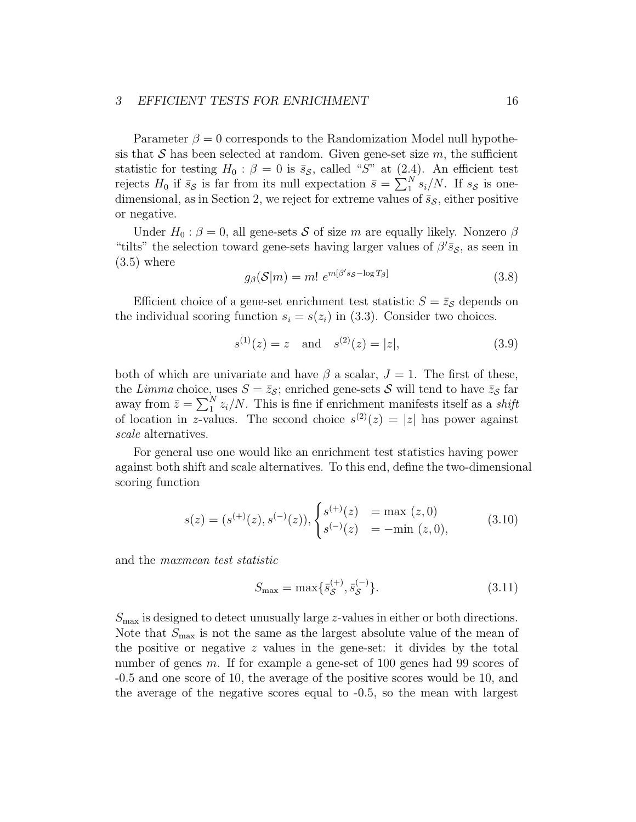#### 3 EFFICIENT TESTS FOR ENRICHMENT 16

Parameter  $\beta = 0$  corresponds to the Randomization Model null hypothesis that S has been selected at random. Given gene-set size  $m$ , the sufficient statistic for testing  $H_0$ :  $\beta = 0$  is  $\bar{s}_{\mathcal{S}}$ , called "S" at (2.4). An efficient test rejects  $H_0$  if  $\bar{s}_{\mathcal{S}}$  is far from its null expectation  $\bar{s} = \sum_{1}^{N} s_i/N$ . If  $s_{\mathcal{S}}$  is onedimensional, as in Section 2, we reject for extreme values of  $\bar{s}_{\mathcal{S}}$ , either positive or negative.

Under  $H_0: \beta = 0$ , all gene-sets S of size m are equally likely. Nonzero  $\beta$ "tilts" the selection toward gene-sets having larger values of  $\beta' \bar{s}_{\mathcal{S}}$ , as seen in  $(3.5)$  where

$$
g_{\beta}(\mathcal{S}|m) = m! \ e^{m[\beta' \bar{s}_{\mathcal{S}} - \log T_{\beta}]} \tag{3.8}
$$

Efficient choice of a gene-set enrichment test statistic  $S = \bar{z}_s$  depends on the individual scoring function  $s_i = s(z_i)$  in (3.3). Consider two choices.

$$
s^{(1)}(z) = z \quad \text{and} \quad s^{(2)}(z) = |z|,\tag{3.9}
$$

both of which are univariate and have  $\beta$  a scalar,  $J = 1$ . The first of these, the Limma choice, uses  $S = \bar{z}_{\mathcal{S}}$ ; enriched gene-sets  $\mathcal{S}$  will tend to have  $\bar{z}_{\mathcal{S}}$  far away from  $\bar{z} = \sum_{1}^{N} z_i/N$ . This is fine if enrichment manifests itself as a *shift* of location in z-values. The second choice  $s^{(2)}(z) = |z|$  has power against scale alternatives.

For general use one would like an enrichment test statistics having power against both shift and scale alternatives. To this end, define the two-dimensional scoring function

$$
s(z) = (s^{(+)}(z), s^{(-)}(z)), \begin{cases} s^{(+)}(z) & = \max(z, 0) \\ s^{(-)}(z) & = -\min(z, 0), \end{cases}
$$
 (3.10)

and the maxmean test statistic

$$
S_{\text{max}} = \max \{ \bar{s}_{\mathcal{S}}^{(+)}, \bar{s}_{\mathcal{S}}^{(-)} \}. \tag{3.11}
$$

 $S<sub>max</sub>$  is designed to detect unusually large z-values in either or both directions. Note that  $S_{\text{max}}$  is not the same as the largest absolute value of the mean of the positive or negative  $z$  values in the gene-set: it divides by the total number of genes m. If for example a gene-set of 100 genes had 99 scores of -0.5 and one score of 10, the average of the positive scores would be 10, and the average of the negative scores equal to -0.5, so the mean with largest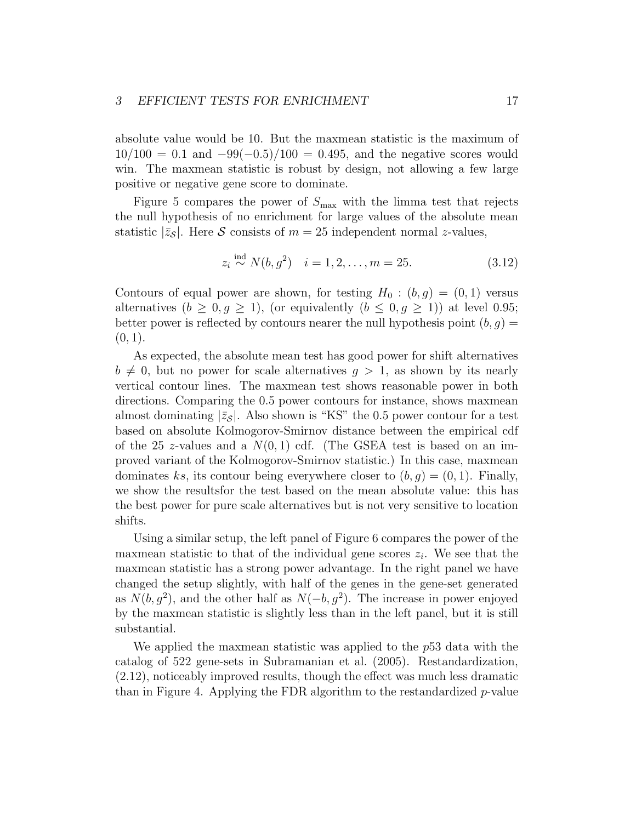#### 3 EFFICIENT TESTS FOR ENRICHMENT 17

absolute value would be 10. But the maxmean statistic is the maximum of  $10/100 = 0.1$  and  $-99(-0.5)/100 = 0.495$ , and the negative scores would win. The maxmean statistic is robust by design, not allowing a few large positive or negative gene score to dominate.

Figure 5 compares the power of  $S_{\text{max}}$  with the limma test that rejects the null hypothesis of no enrichment for large values of the absolute mean statistic  $|\bar{z}_s|$ . Here S consists of  $m = 25$  independent normal z-values,

$$
z_i \stackrel{\text{ind}}{\sim} N(b, g^2) \quad i = 1, 2, \dots, m = 25. \tag{3.12}
$$

Contours of equal power are shown, for testing  $H_0$ :  $(b, g) = (0, 1)$  versus alternatives  $(b \geq 0, g \geq 1)$ , (or equivalently  $(b \leq 0, g \geq 1)$ ) at level 0.95; better power is reflected by contours nearer the null hypothesis point  $(b, g)$  =  $(0, 1)$ .

As expected, the absolute mean test has good power for shift alternatives  $b \neq 0$ , but no power for scale alternatives  $q > 1$ , as shown by its nearly vertical contour lines. The maxmean test shows reasonable power in both directions. Comparing the 0.5 power contours for instance, shows maxmean almost dominating  $|\bar{z}_{\mathcal{S}}|$ . Also shown is "KS" the 0.5 power contour for a test based on absolute Kolmogorov-Smirnov distance between the empirical cdf of the 25 z-values and a  $N(0, 1)$  cdf. (The GSEA test is based on an improved variant of the Kolmogorov-Smirnov statistic.) In this case, maxmean dominates ks, its contour being everywhere closer to  $(b, q) = (0, 1)$ . Finally, we show the resultsfor the test based on the mean absolute value: this has the best power for pure scale alternatives but is not very sensitive to location shifts.

Using a similar setup, the left panel of Figure 6 compares the power of the maxmean statistic to that of the individual gene scores  $z_i$ . We see that the maxmean statistic has a strong power advantage. In the right panel we have changed the setup slightly, with half of the genes in the gene-set generated as  $N(b, g^2)$ , and the other half as  $N(-b, g^2)$ . The increase in power enjoyed by the maxmean statistic is slightly less than in the left panel, but it is still substantial.

We applied the maxmean statistic was applied to the p53 data with the catalog of 522 gene-sets in Subramanian et al. (2005). Restandardization, (2.12), noticeably improved results, though the effect was much less dramatic than in Figure 4. Applying the FDR algorithm to the restandardized  $p$ -value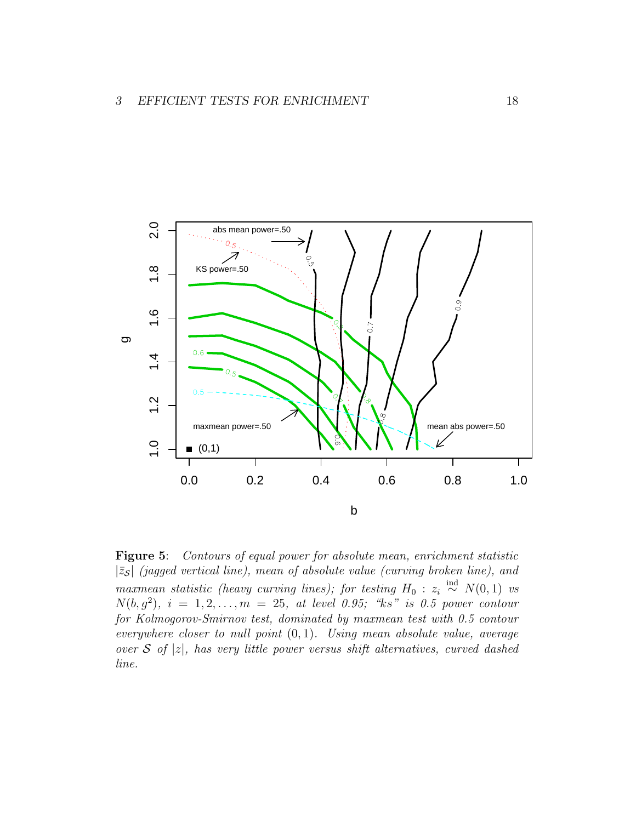

Figure 5: Contours of equal power for absolute mean, enrichment statistic  $|\bar{z}_{\mathcal{S}}|$  (jagged vertical line), mean of absolute value (curving broken line), and maxmean statistic (heavy curving lines); for testing  $H_0$  :  $z_i \stackrel{\text{ind}}{\sim} N(0, 1)$  vs  $N(b, g<sup>2</sup>)$ ,  $i = 1, 2, ..., m = 25$ , at level 0.95; "ks" is 0.5 power contour for Kolmogorov-Smirnov test, dominated by maxmean test with 0.5 contour everywhere closer to null point  $(0, 1)$ . Using mean absolute value, average over S of |z|, has very little power versus shift alternatives, curved dashed line.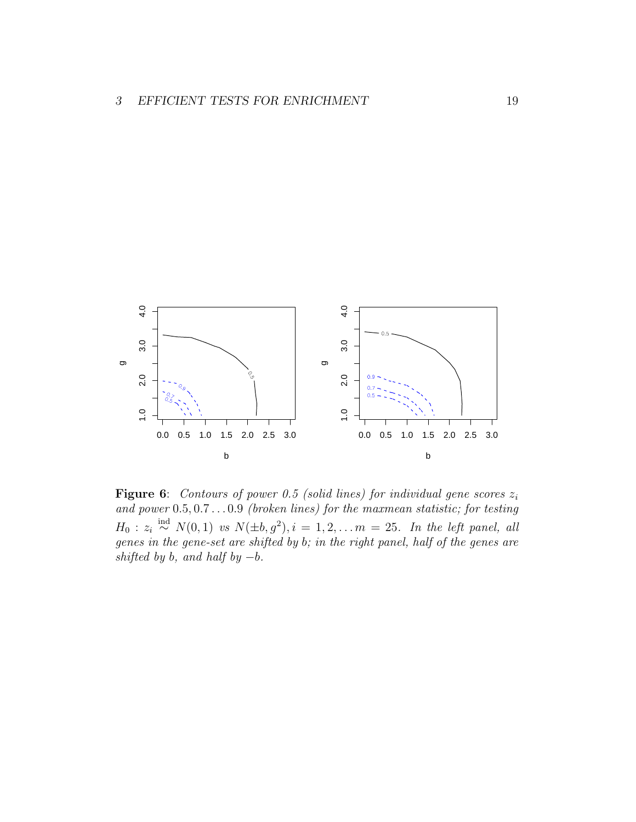

**Figure 6:** Contours of power 0.5 (solid lines) for individual gene scores  $z_i$ and power 0.5, 0.7 . . . 0.9 (broken lines) for the maxmean statistic; for testing  $H_0: z_i \stackrel{\text{ind}}{\sim} N(0,1)$  vs  $N(\pm b, g^2), i = 1, 2, \ldots m = 25$ . In the left panel, all genes in the gene-set are shifted by b; in the right panel, half of the genes are shifted by b, and half by  $-b$ .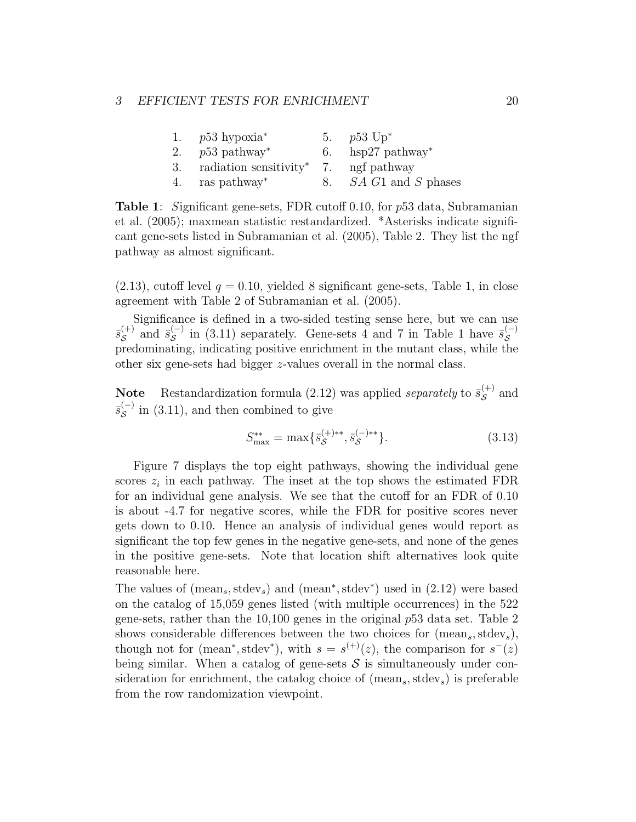| 1. $p53$ hypoxia <sup>*</sup>                        | 5. $p53 \text{ Up}^*$ |
|------------------------------------------------------|-----------------------|
| 2. $p53$ pathway <sup>*</sup>                        | 6. hsp27 pathway*     |
| 3. radiation sensitivity <sup>*</sup> 7. ngf pathway |                       |
| 4. ras pathway*                                      | 8. SA G1 and S phases |

Table 1: Significant gene-sets, FDR cutoff 0.10, for p53 data, Subramanian et al. (2005); maxmean statistic restandardized. \*Asterisks indicate significant gene-sets listed in Subramanian et al. (2005), Table 2. They list the ngf pathway as almost significant.

 $(2.13)$ , cutoff level  $q = 0.10$ , yielded 8 significant gene-sets, Table 1, in close agreement with Table 2 of Subramanian et al. (2005).

Significance is defined in a two-sided testing sense here, but we can use  $\bar{s}^{(+)}_{\mathcal{S}}$  $s^{(+)}$  and  $\bar{s}_{\mathcal{S}}^{(-)}$  $\bar{s}_{\mathcal{S}}^{(-)}$  in (3.11) separately. Gene-sets 4 and 7 in Table 1 have  $\bar{s}_{\mathcal{S}}^{(-)}$ S predominating, indicating positive enrichment in the mutant class, while the other six gene-sets had bigger z-values overall in the normal class.

**Note** Restandardization formula (2.12) was applied *separately* to  $\bar{s}_{\mathcal{S}}^{(+)}$  $\mathcal{S}^{(+)}$  and  $\bar{s}_\mathcal{S}^{(-)}$  $\mathcal{S}^{(-)}$  in (3.11), and then combined to give

$$
S_{\text{max}}^{**} = \max\{\bar{s}_{\mathcal{S}}^{(+)**}, \bar{s}_{\mathcal{S}}^{(-)**}\}.
$$
\n(3.13)

Figure 7 displays the top eight pathways, showing the individual gene scores  $z_i$  in each pathway. The inset at the top shows the estimated FDR for an individual gene analysis. We see that the cutoff for an FDR of 0.10 is about -4.7 for negative scores, while the FDR for positive scores never gets down to 0.10. Hence an analysis of individual genes would report as significant the top few genes in the negative gene-sets, and none of the genes in the positive gene-sets. Note that location shift alternatives look quite reasonable here.

The values of  $(\text{mean}_s, \text{stdev}_s)$  and  $(\text{mean}^*, \text{stdev}^*)$  used in  $(2.12)$  were based on the catalog of 15,059 genes listed (with multiple occurrences) in the 522 gene-sets, rather than the 10,100 genes in the original p53 data set. Table 2 shows considerable differences between the two choices for  $(mean<sub>s</sub>, stdev<sub>s</sub>)$ , though not for (mean<sup>\*</sup>, stdev<sup>\*</sup>), with  $s = s^{(+)}(z)$ , the comparison for  $s^{-}(z)$ being similar. When a catalog of gene-sets  $\mathcal S$  is simultaneously under consideration for enrichment, the catalog choice of  $(mean<sub>s</sub>, stdev<sub>s</sub>)$  is preferable from the row randomization viewpoint.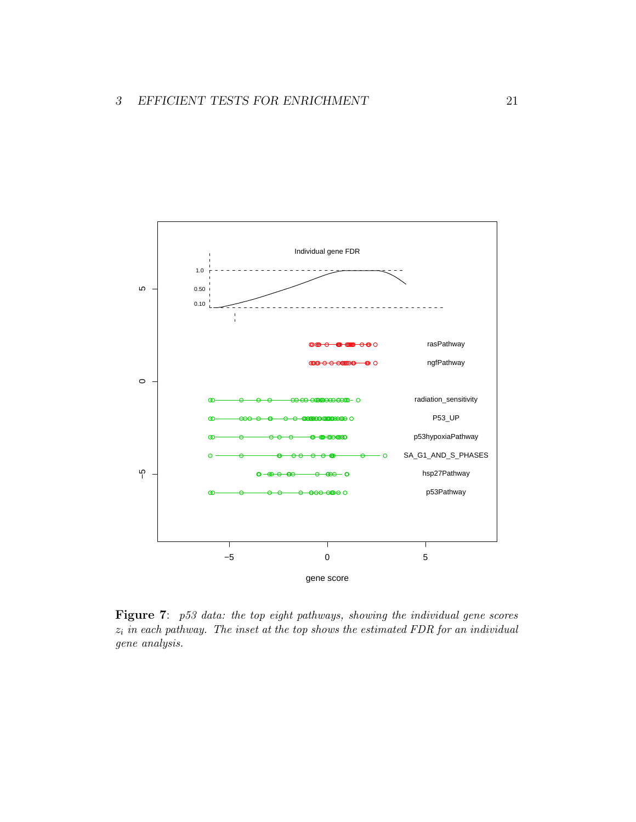

Figure 7: p53 data: the top eight pathways, showing the individual gene scores  $z_i$  in each pathway. The inset at the top shows the estimated FDR for an individual gene analysis.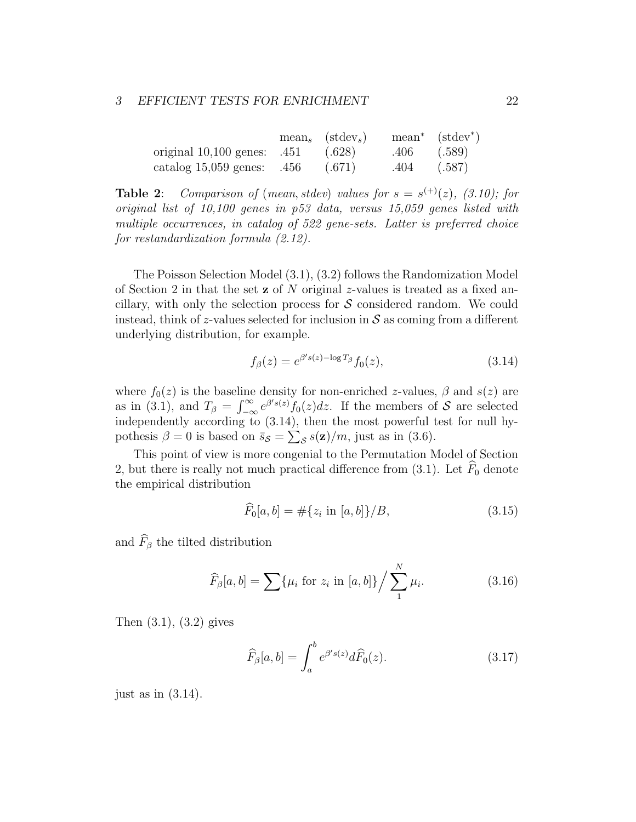|                                          | $mean_s$ (stdev <sub>s</sub> ) |      | $mean^*$ (stdev <sup>*</sup> ) |
|------------------------------------------|--------------------------------|------|--------------------------------|
| original $10,100$ genes: $.451$ $(.628)$ |                                | .406 | (.589)                         |
| catalog $15,059$ genes: $.456$           | (.671)                         | .404 | (.587)                         |

**Table 2:** Comparison of (mean, stdev) values for  $s = s^{(+)}(z)$ , (3.10); for original list of 10,100 genes in p53 data, versus 15,059 genes listed with multiple occurrences, in catalog of 522 gene-sets. Latter is preferred choice for restandardization formula (2.12).

The Poisson Selection Model (3.1), (3.2) follows the Randomization Model of Section 2 in that the set z of N original z-values is treated as a fixed ancillary, with only the selection process for  $S$  considered random. We could instead, think of z-values selected for inclusion in  $S$  as coming from a different underlying distribution, for example.

$$
f_{\beta}(z) = e^{\beta' s(z) - \log T_{\beta}} f_0(z), \qquad (3.14)
$$

where  $f_0(z)$  is the baseline density for non-enriched z-values,  $\beta$  and  $s(z)$  are as in (3.1), and  $T_{\beta} = \int_{-\infty}^{\infty} e^{\beta' s(z)} f_0(z) dz$ . If the members of S are selected independently according to  $(3.14)$ , then the most powerful test for null hypothesis  $\beta = 0$  is based on  $\bar{s}_{\mathcal{S}} = \sum_{\mathcal{S}} s(\mathbf{z})/m$ , just as in (3.6).

This point of view is more congenial to the Permutation Model of Section 2, but there is really not much practical difference from (3.1). Let  $\widehat{F}_0$  denote the empirical distribution

$$
\widehat{F}_0[a, b] = \# \{ z_i \text{ in } [a, b] \} / B, \tag{3.15}
$$

and  $\widehat{F}_{\beta}$  the tilted distribution

$$
\widehat{F}_{\beta}[a, b] = \sum \{ \mu_i \text{ for } z_i \text{ in } [a, b] \} / \sum_{1}^{N} \mu_i.
$$
 (3.16)

Then (3.1), (3.2) gives

$$
\widehat{F}_{\beta}[a,b] = \int_{a}^{b} e^{\beta' s(z)} d\widehat{F}_{0}(z). \tag{3.17}
$$

just as in  $(3.14)$ .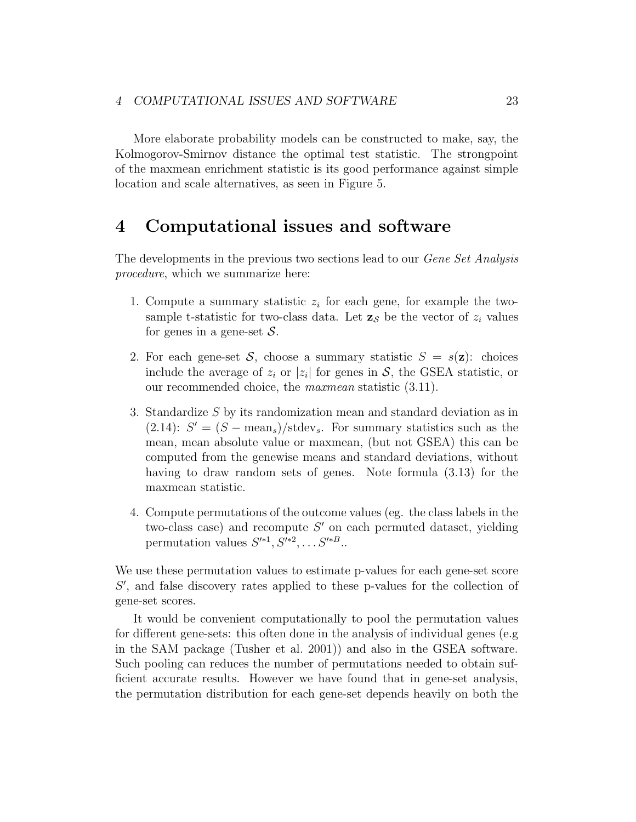More elaborate probability models can be constructed to make, say, the Kolmogorov-Smirnov distance the optimal test statistic. The strongpoint of the maxmean enrichment statistic is its good performance against simple location and scale alternatives, as seen in Figure 5.

### 4 Computational issues and software

The developments in the previous two sections lead to our *Gene Set Analysis* procedure, which we summarize here:

- 1. Compute a summary statistic  $z_i$  for each gene, for example the twosample t-statistic for two-class data. Let  $z_s$  be the vector of  $z_i$  values for genes in a gene-set  $S$ .
- 2. For each gene-set S, choose a summary statistic  $S = s(\mathbf{z})$ : choices include the average of  $z_i$  or  $|z_i|$  for genes in S, the GSEA statistic, or our recommended choice, the maxmean statistic (3.11).
- 3. Standardize S by its randomization mean and standard deviation as in (2.14):  $S' = (S - \text{mean}_s)/\text{stdev}_s$ . For summary statistics such as the mean, mean absolute value or maxmean, (but not GSEA) this can be computed from the genewise means and standard deviations, without having to draw random sets of genes. Note formula (3.13) for the maxmean statistic.
- 4. Compute permutations of the outcome values (eg. the class labels in the two-class case) and recompute  $S'$  on each permuted dataset, yielding permutation values  $S'^{*1}, S'^{*2}, \ldots S'^{*B}$ .

We use these permutation values to estimate p-values for each gene-set score S', and false discovery rates applied to these p-values for the collection of gene-set scores.

It would be convenient computationally to pool the permutation values for different gene-sets: this often done in the analysis of individual genes (e.g in the SAM package (Tusher et al. 2001)) and also in the GSEA software. Such pooling can reduces the number of permutations needed to obtain sufficient accurate results. However we have found that in gene-set analysis, the permutation distribution for each gene-set depends heavily on both the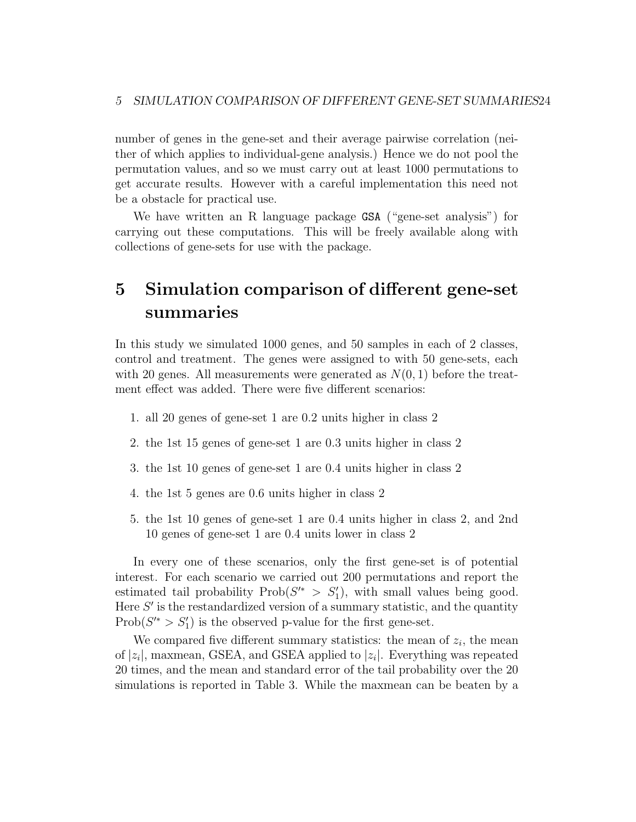number of genes in the gene-set and their average pairwise correlation (neither of which applies to individual-gene analysis.) Hence we do not pool the permutation values, and so we must carry out at least 1000 permutations to get accurate results. However with a careful implementation this need not be a obstacle for practical use.

We have written an R language package GSA ("gene-set analysis") for carrying out these computations. This will be freely available along with collections of gene-sets for use with the package.

## 5 Simulation comparison of different gene-set summaries

In this study we simulated 1000 genes, and 50 samples in each of 2 classes, control and treatment. The genes were assigned to with 50 gene-sets, each with 20 genes. All measurements were generated as  $N(0, 1)$  before the treatment effect was added. There were five different scenarios:

- 1. all 20 genes of gene-set 1 are 0.2 units higher in class 2
- 2. the 1st 15 genes of gene-set 1 are 0.3 units higher in class 2
- 3. the 1st 10 genes of gene-set 1 are 0.4 units higher in class 2
- 4. the 1st 5 genes are 0.6 units higher in class 2
- 5. the 1st 10 genes of gene-set 1 are 0.4 units higher in class 2, and 2nd 10 genes of gene-set 1 are 0.4 units lower in class 2

In every one of these scenarios, only the first gene-set is of potential interest. For each scenario we carried out 200 permutations and report the estimated tail probability  $\text{Prob}(S'^* > S'_1)$ , with small values being good. Here  $S'$  is the restandardized version of a summary statistic, and the quantity  $Prob(S'^{*} > S'_1)$  is the observed p-value for the first gene-set.

We compared five different summary statistics: the mean of  $z_i$ , the mean of  $|z_i|$ , maxmean, GSEA, and GSEA applied to  $|z_i|$ . Everything was repeated 20 times, and the mean and standard error of the tail probability over the 20 simulations is reported in Table 3. While the maxmean can be beaten by a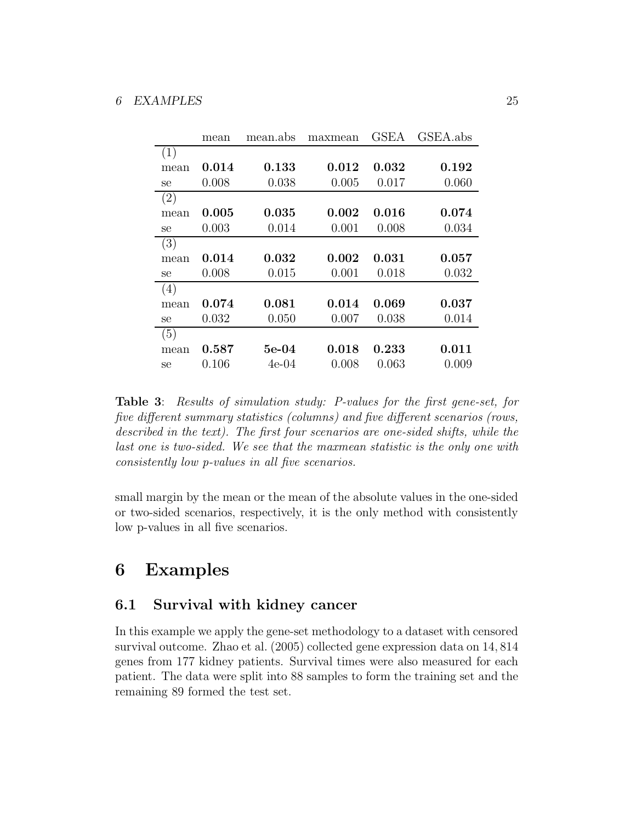|      | mean  | mean.abs | maxmean | GSEA        | GSEA.abs |
|------|-------|----------|---------|-------------|----------|
| (1)  |       |          |         |             |          |
| mean | 0.014 | 0.133    | 0.012   | 0.032       | 0.192    |
| se   | 0.008 | 0.038    | 0.005   | 0.017       | 0.060    |
| (2)  |       |          |         |             |          |
| mean | 0.005 | 0.035    | 0.002   | 0.016       | 0.074    |
| se   | 0.003 | 0.014    | 0.001   | 0.008       | 0.034    |
| (3)  |       |          |         |             |          |
| mean | 0.014 | 0.032    | 0.002   | $\,0.031\,$ | 0.057    |
| se   | 0.008 | 0.015    | 0.001   | 0.018       | 0.032    |
| (4)  |       |          |         |             |          |
| mean | 0.074 | 0.081    | 0.014   | 0.069       | 0.037    |
| se   | 0.032 | 0.050    | 0.007   | 0.038       | 0.014    |
| (5)  |       |          |         |             |          |
| mean | 0.587 | $5e-04$  | 0.018   | 0.233       | 0.011    |
| se   | 0.106 | 4e-04    | 0.008   | 0.063       | 0.009    |

Table 3: Results of simulation study: P-values for the first gene-set, for five different summary statistics (columns) and five different scenarios (rows, described in the text). The first four scenarios are one-sided shifts, while the last one is two-sided. We see that the maxmean statistic is the only one with consistently low p-values in all five scenarios.

small margin by the mean or the mean of the absolute values in the one-sided or two-sided scenarios, respectively, it is the only method with consistently low p-values in all five scenarios.

### 6 Examples

### 6.1 Survival with kidney cancer

In this example we apply the gene-set methodology to a dataset with censored survival outcome. Zhao et al. (2005) collected gene expression data on 14, 814 genes from 177 kidney patients. Survival times were also measured for each patient. The data were split into 88 samples to form the training set and the remaining 89 formed the test set.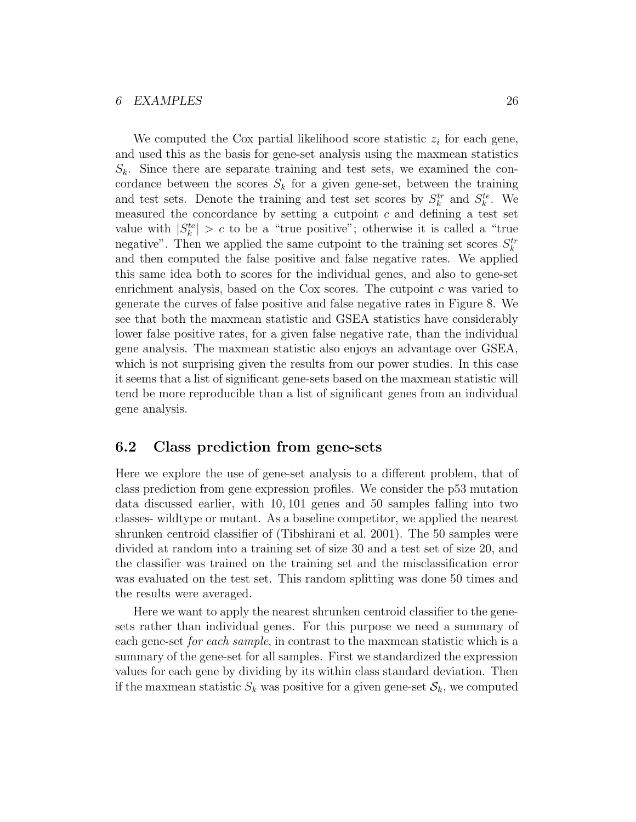#### 6 EXAMPLES 26

We computed the Cox partial likelihood score statistic  $z_i$  for each gene, and used this as the basis for gene-set analysis using the maxmean statistics  $S_k$ . Since there are separate training and test sets, we examined the concordance between the scores  $S_k$  for a given gene-set, between the training and test sets. Denote the training and test set scores by  $S_k^{tr}$  and  $S_k^{te}$ . We measured the concordance by setting a cutpoint  $c$  and defining a test set value with  $|S_k^{te}| > c$  to be a "true positive"; otherwise it is called a "true negative". Then we applied the same cutpoint to the training set scores  $S_k^{tr}$ and then computed the false positive and false negative rates. We applied this same idea both to scores for the individual genes, and also to gene-set enrichment analysis, based on the Cox scores. The cutpoint c was varied to generate the curves of false positive and false negative rates in Figure 8. We see that both the maxmean statistic and GSEA statistics have considerably lower false positive rates, for a given false negative rate, than the individual gene analysis. The maxmean statistic also enjoys an advantage over GSEA, which is not surprising given the results from our power studies. In this case it seems that a list of significant gene-sets based on the maxmean statistic will tend be more reproducible than a list of significant genes from an individual gene analysis.

#### 6.2 Class prediction from gene-sets

Here we explore the use of gene-set analysis to a different problem, that of class prediction from gene expression profiles. We consider the p53 mutation data discussed earlier, with 10, 101 genes and 50 samples falling into two classes- wildtype or mutant. As a baseline competitor, we applied the nearest shrunken centroid classifier of (Tibshirani et al. 2001). The 50 samples were divided at random into a training set of size 30 and a test set of size 20, and the classifier was trained on the training set and the misclassification error was evaluated on the test set. This random splitting was done 50 times and the results were averaged.

Here we want to apply the nearest shrunken centroid classifier to the genesets rather than individual genes. For this purpose we need a summary of each gene-set for each sample, in contrast to the maxmean statistic which is a summary of the gene-set for all samples. First we standardized the expression values for each gene by dividing by its within class standard deviation. Then if the maxmean statistic  $S_k$  was positive for a given gene-set  $\mathcal{S}_k$ , we computed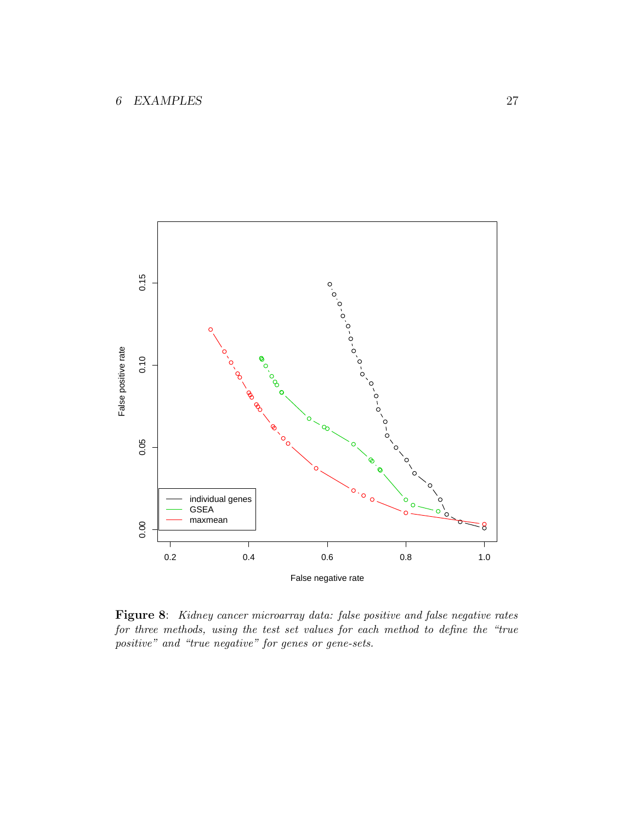

Figure 8: Kidney cancer microarray data: false positive and false negative rates for three methods, using the test set values for each method to define the "true positive" and "true negative" for genes or gene-sets.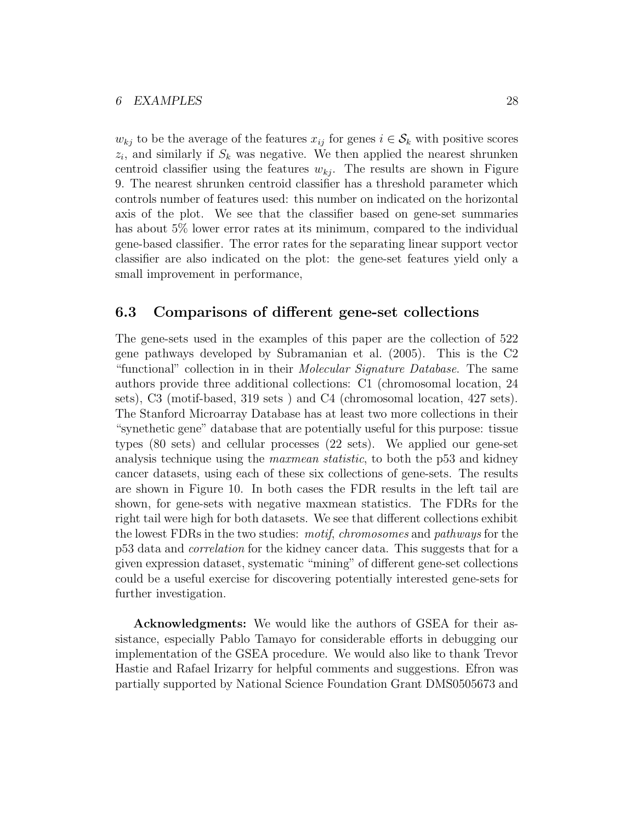$w_{kj}$  to be the average of the features  $x_{ij}$  for genes  $i \in \mathcal{S}_k$  with positive scores  $z_i$ , and similarly if  $S_k$  was negative. We then applied the nearest shrunken centroid classifier using the features  $w_{kj}$ . The results are shown in Figure 9. The nearest shrunken centroid classifier has a threshold parameter which controls number of features used: this number on indicated on the horizontal axis of the plot. We see that the classifier based on gene-set summaries has about 5% lower error rates at its minimum, compared to the individual gene-based classifier. The error rates for the separating linear support vector classifier are also indicated on the plot: the gene-set features yield only a small improvement in performance,

#### 6.3 Comparisons of different gene-set collections

The gene-sets used in the examples of this paper are the collection of 522 gene pathways developed by Subramanian et al. (2005). This is the C2 "functional" collection in in their *Molecular Signature Database*. The same authors provide three additional collections: C1 (chromosomal location, 24 sets), C3 (motif-based, 319 sets ) and C4 (chromosomal location, 427 sets). The Stanford Microarray Database has at least two more collections in their "synethetic gene" database that are potentially useful for this purpose: tissue types (80 sets) and cellular processes (22 sets). We applied our gene-set analysis technique using the *maxmean statistic*, to both the p53 and kidney cancer datasets, using each of these six collections of gene-sets. The results are shown in Figure 10. In both cases the FDR results in the left tail are shown, for gene-sets with negative maxmean statistics. The FDRs for the right tail were high for both datasets. We see that different collections exhibit the lowest FDRs in the two studies: motif, chromosomes and pathways for the p53 data and correlation for the kidney cancer data. This suggests that for a given expression dataset, systematic "mining" of different gene-set collections could be a useful exercise for discovering potentially interested gene-sets for further investigation.

Acknowledgments: We would like the authors of GSEA for their assistance, especially Pablo Tamayo for considerable efforts in debugging our implementation of the GSEA procedure. We would also like to thank Trevor Hastie and Rafael Irizarry for helpful comments and suggestions. Efron was partially supported by National Science Foundation Grant DMS0505673 and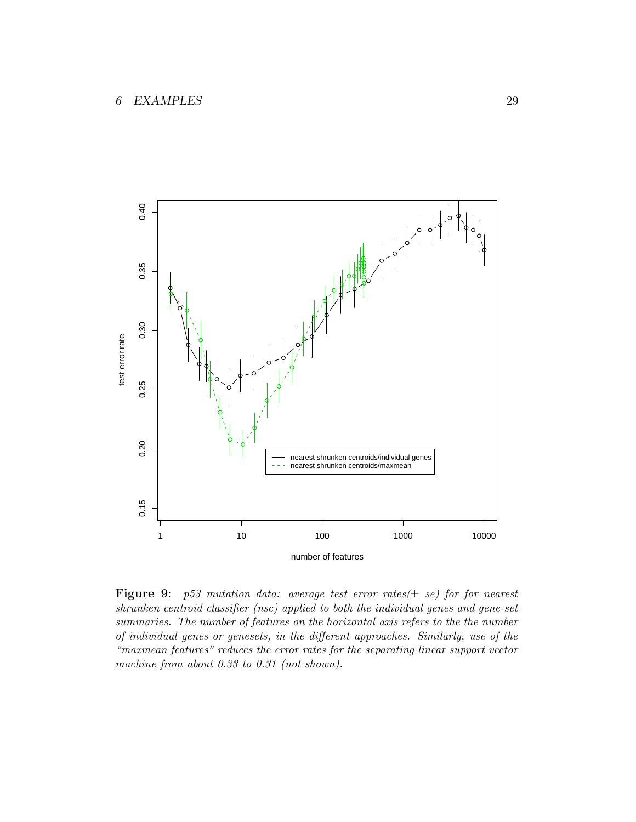

**Figure 9:** p53 mutation data: average test error rates( $\pm$  se) for for nearest shrunken centroid classifier (nsc) applied to both the individual genes and gene-set summaries. The number of features on the horizontal axis refers to the the number of individual genes or genesets, in the different approaches. Similarly, use of the "maxmean features" reduces the error rates for the separating linear support vector machine from about 0.33 to 0.31 (not shown).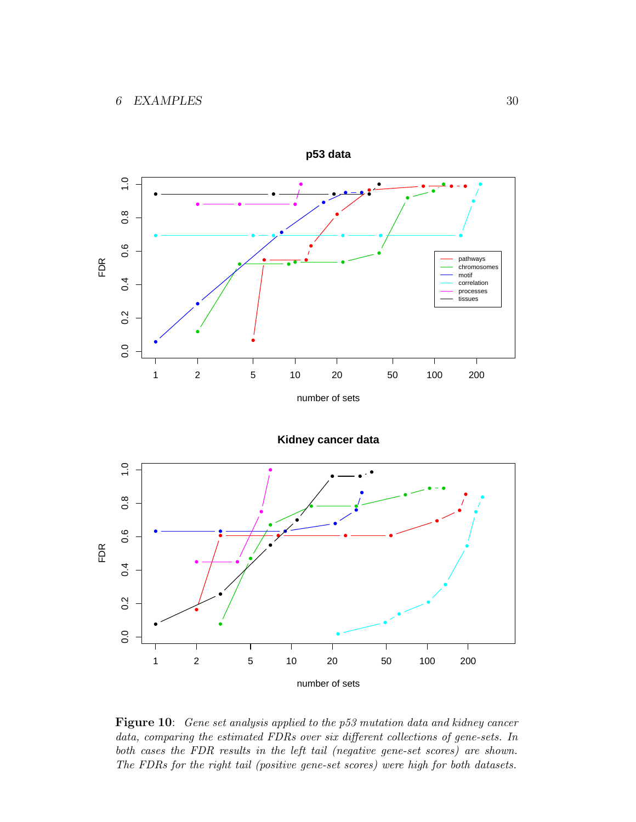

**Kidney cancer data**



Figure 10: Gene set analysis applied to the p53 mutation data and kidney cancer data, comparing the estimated FDRs over six different collections of gene-sets. In both cases the FDR results in the left tail (negative gene-set scores) are shown. The FDRs for the right tail (positive gene-set scores) were high for both datasets.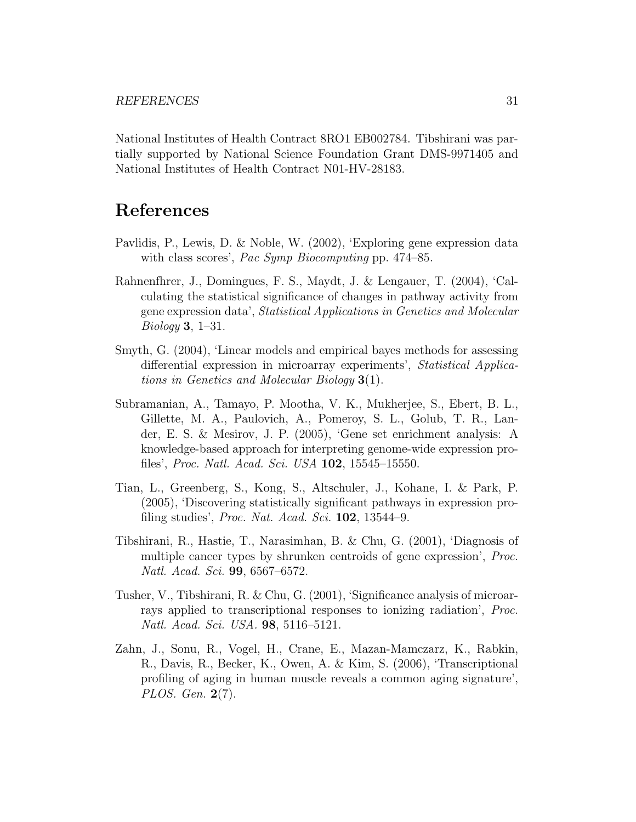National Institutes of Health Contract 8RO1 EB002784. Tibshirani was partially supported by National Science Foundation Grant DMS-9971405 and National Institutes of Health Contract N01-HV-28183.

### References

- Pavlidis, P., Lewis, D. & Noble, W. (2002), 'Exploring gene expression data with class scores', *Pac Symp Biocomputing* pp. 474–85.
- Rahnenfhrer, J., Domingues, F. S., Maydt, J. & Lengauer, T. (2004), 'Calculating the statistical significance of changes in pathway activity from gene expression data', Statistical Applications in Genetics and Molecular Biology 3, 1–31.
- Smyth, G. (2004), 'Linear models and empirical bayes methods for assessing differential expression in microarray experiments', Statistical Applications in Genetics and Molecular Biology 3(1).
- Subramanian, A., Tamayo, P. Mootha, V. K., Mukherjee, S., Ebert, B. L., Gillette, M. A., Paulovich, A., Pomeroy, S. L., Golub, T. R., Lander, E. S. & Mesirov, J. P. (2005), 'Gene set enrichment analysis: A knowledge-based approach for interpreting genome-wide expression profiles', Proc. Natl. Acad. Sci. USA 102, 15545–15550.
- Tian, L., Greenberg, S., Kong, S., Altschuler, J., Kohane, I. & Park, P. (2005), 'Discovering statistically significant pathways in expression profiling studies', *Proc. Nat. Acad. Sci.*  $102$ ,  $13544-9$ .
- Tibshirani, R., Hastie, T., Narasimhan, B. & Chu, G. (2001), 'Diagnosis of multiple cancer types by shrunken centroids of gene expression', Proc. Natl. Acad. Sci. 99, 6567–6572.
- Tusher, V., Tibshirani, R. & Chu, G. (2001), 'Significance analysis of microarrays applied to transcriptional responses to ionizing radiation', Proc. Natl. Acad. Sci. USA. 98, 5116–5121.
- Zahn, J., Sonu, R., Vogel, H., Crane, E., Mazan-Mamczarz, K., Rabkin, R., Davis, R., Becker, K., Owen, A. & Kim, S. (2006), 'Transcriptional profiling of aging in human muscle reveals a common aging signature', PLOS. Gen. 2(7).